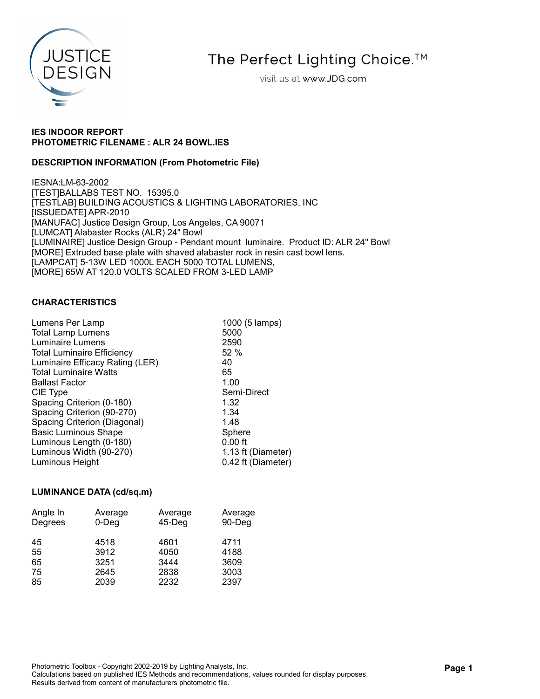

The Perfect Lighting Choice.<sup>™</sup>

visit us at www.JDG.com

# IES INDOOR REPORT PHOTOMETRIC FILENAME : ALR 24 BOWL.IES

# DESCRIPTION INFORMATION (From Photometric File)

IESNA:LM-63-2002 [TEST]BALLABS TEST NO. 15395.0 [TESTLAB] BUILDING ACOUSTICS & LIGHTING LABORATORIES, INC [ISSUEDATE] APR-2010 [MANUFAC] Justice Design Group, Los Angeles, CA 90071 [LUMCAT] Alabaster Rocks (ALR) 24" Bowl [LUMINAIRE] Justice Design Group - Pendant mount luminaire. Product ID: ALR 24" Bowl [MORE] Extruded base plate with shaved alabaster rock in resin cast bowl lens. [LAMPCAT] 5-13W LED 1000L EACH 5000 TOTAL LUMENS, [MORE] 65W AT 120.0 VOLTS SCALED FROM 3-LED LAMP

#### CHARACTERISTICS

| Lumens Per Lamp                   | 1000 (5 lamps)     |
|-----------------------------------|--------------------|
| <b>Total Lamp Lumens</b>          | 5000               |
| Luminaire Lumens                  | 2590               |
| <b>Total Luminaire Efficiency</b> | 52%                |
| Luminaire Efficacy Rating (LER)   | 40                 |
| <b>Total Luminaire Watts</b>      | 65                 |
| <b>Ballast Factor</b>             | 1.00               |
| CIE Type                          | Semi-Direct        |
| Spacing Criterion (0-180)         | 1.32               |
| Spacing Criterion (90-270)        | 1.34               |
| Spacing Criterion (Diagonal)      | 1.48               |
| <b>Basic Luminous Shape</b>       | Sphere             |
| Luminous Length (0-180)           | $0.00$ ft          |
| Luminous Width (90-270)           | 1.13 ft (Diameter) |
| Luminous Height                   | 0.42 ft (Diameter) |
|                                   |                    |

# LUMINANCE DATA (cd/sq.m)

| Angle In | Average  | Average   | Average |
|----------|----------|-----------|---------|
| Degrees  | $0$ -Deg | $45$ -Deg | 90-Deg  |
| 45       | 4518     | 4601      | 4711    |
| 55       | 3912     | 4050      | 4188    |
| 65       | 3251     | 3444      | 3609    |
| 75       | 2645     | 2838      | 3003    |
| 85       | 2039     | 2232      | 2397    |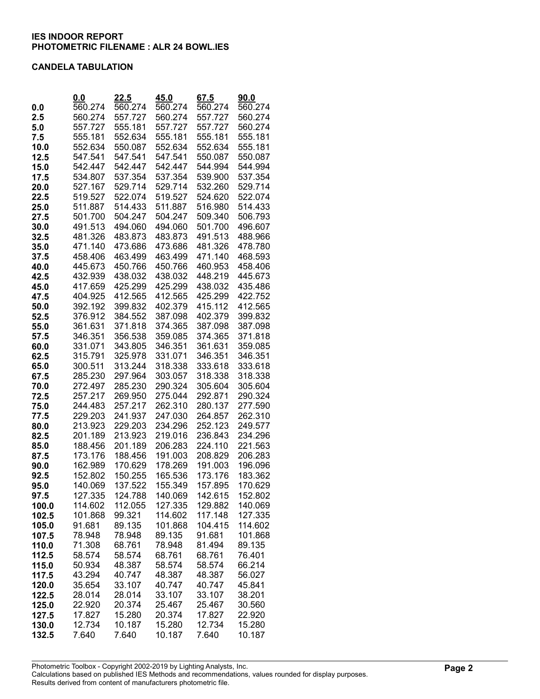#### CANDELA TABULATION

|               | 0.0                | <u>22.5</u>        | 45.0               | 67.5               | 90.0               |
|---------------|--------------------|--------------------|--------------------|--------------------|--------------------|
| 0.0           | 560.274            | 560.274            | 560.274            | 560.274            | 560.274            |
| 2.5           | 560.274            | 557.727            | 560.274            | 557.727            | 560.274            |
| 5.0           | 557.727            | 555.181            | 557.727            | 557.727            | 560.274            |
| 7.5           | 555.181            | 552.634            | 555.181            | 555.181            | 555.181            |
| 10.0          | 552.634            | 550.087            | 552.634            | 552.634            | 555.181            |
| 12.5          | 547.541            | 547.541            | 547.541            | 550.087            | 550.087            |
| 15.0          | 542.447            | 542.447            | 542.447            | 544.994            | 544.994            |
| 17.5          | 534.807            | 537.354            | 537.354            | 539.900            | 537.354            |
| 20.0          | 527.167            | 529.714            | 529.714            | 532.260            | 529.714            |
| 22.5          | 519.527            | 522.074            | 519.527            | 524.620            | 522.074            |
| 25.0          | 511.887            | 514.433            | 511.887            | 516.980            | 514.433            |
| 27.5          | 501.700            | 504.247            | 504.247            | 509.340            | 506.793            |
| 30.0          | 491.513            | 494.060            | 494.060            | 501.700            | 496.607            |
| 32.5          | 481.326            | 483.873            | 483.873            | 491.513            | 488.966            |
| 35.0          | 471.140            | 473.686            | 473.686            | 481.326            | 478.780            |
| 37.5          | 458.406            | 463.499            | 463.499            | 471.140            | 468.593            |
| 40.0<br>42.5  | 445.673<br>432.939 | 450.766<br>438.032 | 450.766<br>438.032 | 460.953<br>448.219 | 458.406<br>445.673 |
| 45.0          | 417.659            | 425.299            | 425.299            | 438.032            | 435.486            |
| 47.5          | 404.925            | 412.565            | 412.565            | 425.299            | 422.752            |
| 50.0          | 392.192            | 399.832            | 402.379            | 415.112            | 412.565            |
| 52.5          | 376.912            | 384.552            | 387.098            | 402.379            | 399.832            |
| 55.0          | 361.631            | 371.818            | 374.365            | 387.098            | 387.098            |
| 57.5          | 346.351            | 356.538            | 359.085            | 374.365            | 371.818            |
| 60.0          | 331.071            | 343.805            | 346.351            | 361.631            | 359.085            |
| 62.5          | 315.791            | 325.978            | 331.071            | 346.351            | 346.351            |
| 65.0          | 300.511            | 313.244            | 318.338            | 333.618            | 333.618            |
| 67.5          | 285.230            | 297.964            | 303.057            | 318.338            | 318.338            |
| 70.0          | 272.497            | 285.230            | 290.324            | 305.604            | 305.604            |
| 72.5          | 257.217            | 269.950            | 275.044            | 292.871            | 290.324            |
| 75.0          | 244.483            | 257.217            | 262.310            | 280.137            | 277.590            |
| 77.5          | 229.203            | 241.937            | 247.030            | 264.857            | 262.310            |
| 80.0          | 213.923            | 229.203            | 234.296            | 252.123            | 249.577            |
| 82.5          | 201.189            | 213.923            | 219.016            | 236.843            | 234.296            |
| 85.0          | 188.456            | 201.189            | 206.283            | 224.110            | 221.563            |
| 87.5          | 173.176            | 188.456            | 191.003            | 208.829            | 206.283            |
| 90.0          | 162.989            | 170.629            | 178.269            | 191.003            | 196.096            |
| 92.5<br>95.0  | 152.802<br>140.069 | 150.255<br>137.522 | 165.536<br>155.349 | 173.176<br>157.895 | 183.362<br>170 629 |
|               | 127.335            | 124.788            | 140.069            | 142.615            | 152.802            |
| 97.5<br>100.0 | 114.602            | 112.055            | 127.335            | 129.882            | 140.069            |
| 102.5         | 101.868            | 99.321             | 114.602            | 117.148            | 127.335            |
| 105.0         | 91.681             | 89.135             | 101.868            | 104.415            | 114.602            |
| 107.5         | 78.948             | 78.948             | 89.135             | 91.681             | 101.868            |
| 110.0         | 71.308             | 68.761             | 78.948             | 81.494             | 89.135             |
| 112.5         | 58.574             | 58.574             | 68.761             | 68.761             | 76.401             |
| 115.0         | 50.934             | 48.387             | 58.574             | 58.574             | 66.214             |
| 117.5         | 43.294             | 40.747             | 48.387             | 48.387             | 56.027             |
| 120.0         | 35.654             | 33.107             | 40.747             | 40.747             | 45.841             |
| 122.5         | 28.014             | 28.014             | 33.107             | 33.107             | 38.201             |
| 125.0         | 22.920             | 20.374             | 25.467             | 25.467             | 30.560             |
| 127.5         | 17.827             | 15.280             | 20.374             | 17.827             | 22.920             |
| 130.0         | 12.734             | 10.187             | 15.280             | 12.734             | 15.280             |
| 132.5         | 7.640              | 7.640              | 10.187             | 7.640              | 10.187             |

Photometric Toolbox - Copyright 2002-2019 by Lighting Analysts, Inc. Calculations based on published IES Methods and recommendations, values rounded for display purposes. Results derived from content of manufacturers photometric file.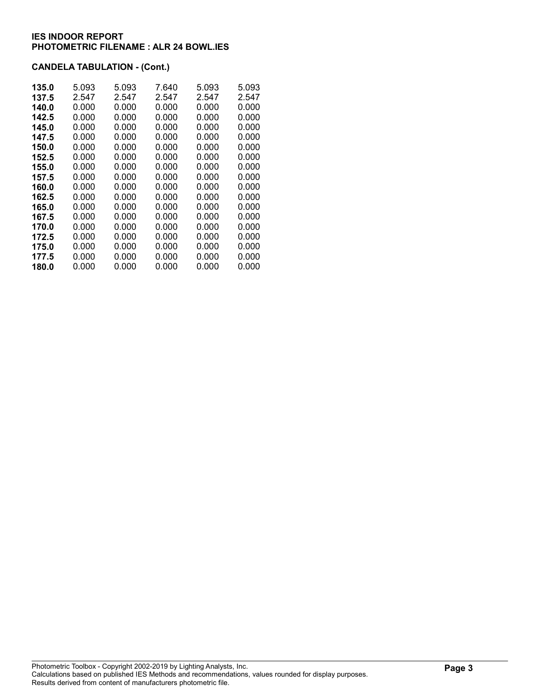# CANDELA TABULATION - (Cont.)

| 135.0 | 5.093 | 5.093 | 7.640 | 5.093 | 5.093 |
|-------|-------|-------|-------|-------|-------|
| 137.5 | 2.547 | 2.547 | 2.547 | 2.547 | 2.547 |
| 140.0 | 0.000 | 0.000 | 0.000 | 0.000 | 0.000 |
| 142.5 | 0.000 | 0.000 | 0.000 | 0.000 | 0.000 |
| 145.0 | 0.000 | 0.000 | 0.000 | 0.000 | 0.000 |
| 147.5 | 0.000 | 0.000 | 0.000 | 0.000 | 0.000 |
| 150.0 | 0.000 | 0.000 | 0.000 | 0.000 | 0.000 |
| 152.5 | 0.000 | 0.000 | 0.000 | 0.000 | 0.000 |
| 155.0 | 0.000 | 0.000 | 0.000 | 0.000 | 0.000 |
| 157.5 | 0.000 | 0.000 | 0.000 | 0.000 | 0.000 |
| 160.0 | 0.000 | 0.000 | 0.000 | 0.000 | 0.000 |
| 162.5 | 0.000 | 0.000 | 0.000 | 0.000 | 0.000 |
| 165.0 | 0.000 | 0.000 | 0.000 | 0.000 | 0.000 |
| 167.5 | 0.000 | 0.000 | 0.000 | 0.000 | 0.000 |
| 170.0 | 0.000 | 0.000 | 0.000 | 0.000 | 0.000 |
| 172.5 | 0.000 | 0.000 | 0.000 | 0.000 | 0.000 |
| 175.0 | 0.000 | 0.000 | 0.000 | 0.000 | 0.000 |
| 177.5 | 0.000 | 0.000 | 0.000 | 0.000 | 0.000 |
| 180.0 | 0.000 | 0.000 | 0.000 | 0.000 | 0.000 |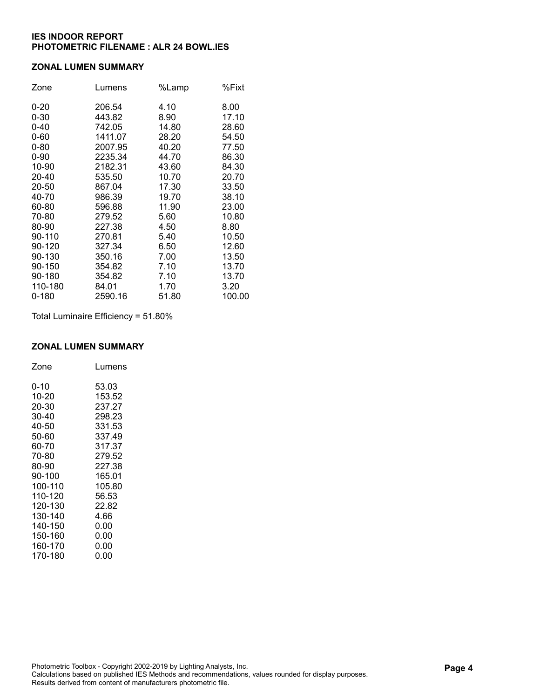#### ZONAL LUMEN SUMMARY

| Zone     | Lumens  | %Lamp | %Fixt  |
|----------|---------|-------|--------|
| $0 - 20$ | 206.54  | 4.10  | 8.00   |
| $0 - 30$ | 443.82  | 8.90  | 17.10  |
| $0 - 40$ | 742.05  | 14.80 | 28.60  |
| $0 - 60$ | 1411.07 | 28.20 | 54.50  |
| $0 - 80$ | 2007.95 | 40.20 | 77.50  |
| $0 - 90$ | 2235.34 | 44.70 | 86.30  |
| 10-90    | 2182.31 | 43.60 | 84.30  |
| 20-40    | 535.50  | 10.70 | 20.70  |
| 20-50    | 867.04  | 17.30 | 33.50  |
| 40-70    | 986.39  | 19.70 | 38.10  |
| 60-80    | 596.88  | 11.90 | 23.00  |
| 70-80    | 279.52  | 5.60  | 10.80  |
| 80-90    | 227.38  | 4.50  | 8.80   |
| 90-110   | 270.81  | 5.40  | 10.50  |
| 90-120   | 327.34  | 6.50  | 12.60  |
| 90-130   | 350.16  | 7.00  | 13.50  |
| 90-150   | 354.82  | 7.10  | 13.70  |
| 90-180   | 354.82  | 7.10  | 13.70  |
| 110-180  | 84.01   | 1.70  | 3.20   |
| 0-180    | 2590.16 | 51.80 | 100.00 |

Total Luminaire Efficiency = 51.80%

# ZONAL LUMEN SUMMARY

| Zone    | Lumens |
|---------|--------|
| 0-10    | 53.03  |
| 10-20   | 153.52 |
| 20-30   | 237.27 |
| 30-40   | 298.23 |
| 40-50   | 331.53 |
| 50-60   | 337.49 |
| 60-70   | 317.37 |
| 70-80   | 279.52 |
| 80-90   | 227.38 |
| 90-100  | 165.01 |
| 100-110 | 105.80 |
| 110-120 | 56.53  |
| 120-130 | 22.82  |
| 130-140 | 4.66   |
| 140-150 | 0.00   |
| 150-160 | 0.00   |
| 160-170 | 0.00   |
| 170-180 | 0.00   |
|         |        |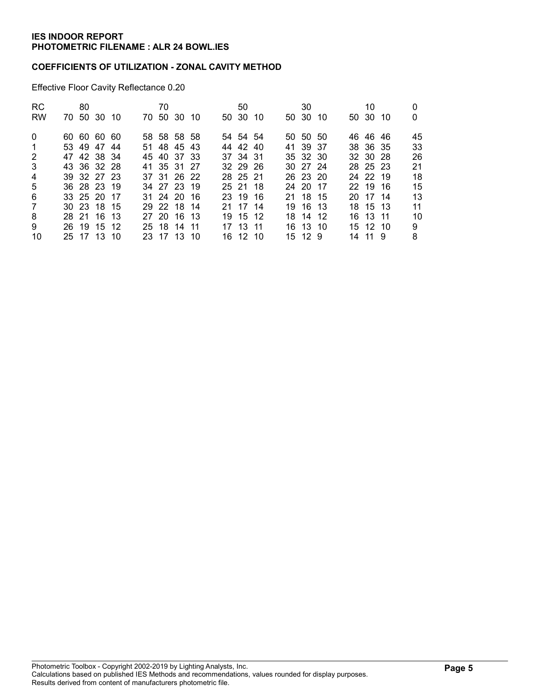#### COEFFICIENTS OF UTILIZATION - ZONAL CAVITY METHOD

Effective Floor Cavity Reflectance 0.20

| RC.            | 80          |  | 70          |  |  | 50       |  | 30       |  | 10       |  | 0  |
|----------------|-------------|--|-------------|--|--|----------|--|----------|--|----------|--|----|
| <b>RW</b>      | 70 50 30 10 |  | 70 50 30 10 |  |  | 50 30 10 |  | 50 30 10 |  | 50 30 10 |  | 0  |
| $\Omega$       | 60 60 60 60 |  | 58 58 58 58 |  |  | 54 54 54 |  | 50 50 50 |  | 46 46 46 |  | 45 |
| $\overline{1}$ | 53 49 47 44 |  | 51 48 45 43 |  |  | 44 42 40 |  | 41 39 37 |  | 38 36 35 |  | 33 |
| $\overline{2}$ | 47 42 38 34 |  | 45 40 37 33 |  |  | 37 34 31 |  | 35 32 30 |  | 32 30 28 |  | 26 |
| 3              | 43 36 32 28 |  | 41 35 31 27 |  |  | 32 29 26 |  | 30 27 24 |  | 28 25 23 |  | 21 |
| $\overline{4}$ | 39 32 27 23 |  | 37 31 26 22 |  |  | 28 25 21 |  | 26 23 20 |  | 24 22 19 |  | 18 |
| 5              | 36 28 23 19 |  | 34 27 23 19 |  |  | 25 21 18 |  | 24 20 17 |  | 22 19 16 |  | 15 |
| 6              | 33 25 20 17 |  | 31 24 20 16 |  |  | 23 19 16 |  | 21 18 15 |  | 20 17 14 |  | 13 |
| 7              | 30 23 18 15 |  | 29 22 18 14 |  |  | 21 17 14 |  | 19 16 13 |  | 18 15 13 |  | 11 |
| 8              | 28 21 16 13 |  | 27 20 16 13 |  |  | 19 15 12 |  | 18 14 12 |  | 16 13 11 |  | 10 |
| 9              | 26 19 15 12 |  | 25 18 14 11 |  |  | 17 13 11 |  | 16 13 10 |  | 15 12 10 |  | 9  |
| 10             | 25 17 13 10 |  | 23 17 13 10 |  |  | 16 12 10 |  | 15 12 9  |  | 14 11 9  |  | 8  |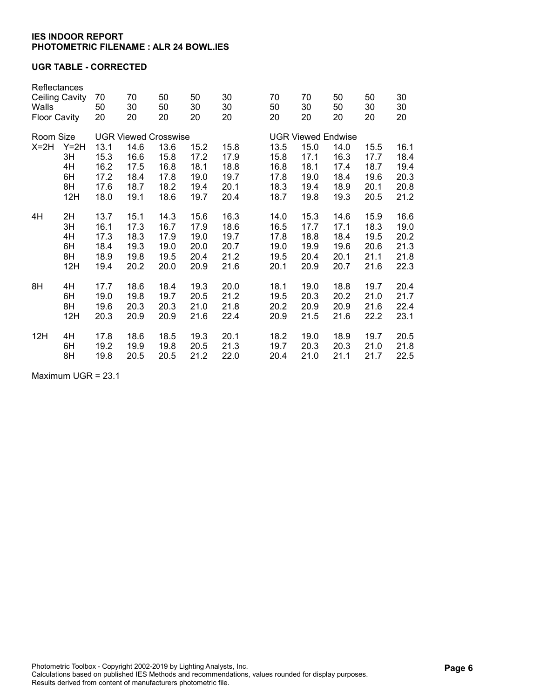### UGR TABLE - CORRECTED

| Reflectances<br><b>Ceiling Cavity</b><br>Walls<br><b>Floor Cavity</b> |                       | 70<br>30<br>20                         | 50<br>50<br>20               | 50<br>30<br>20               | 30<br>30<br>20                                              |                      |  | 70<br>30<br>20                                                                                                                                                         | 50<br>50<br>20 | 50<br>30<br>20               | 30<br>30<br>20       |
|-----------------------------------------------------------------------|-----------------------|----------------------------------------|------------------------------|------------------------------|-------------------------------------------------------------|----------------------|--|------------------------------------------------------------------------------------------------------------------------------------------------------------------------|----------------|------------------------------|----------------------|
| Room Size                                                             |                       |                                        |                              |                              | <b>UGR Viewed Endwise</b>                                   |                      |  |                                                                                                                                                                        |                |                              |                      |
| $Y=2H$                                                                | 13.1                  | 14.6                                   | 13.6                         | 15.2                         | 15.8                                                        |                      |  | 15.0                                                                                                                                                                   | 14.0           | 15.5                         | 16.1                 |
|                                                                       |                       |                                        |                              |                              | 17.9                                                        |                      |  | 17.1                                                                                                                                                                   |                | 17.7                         | 18.4                 |
| 4H                                                                    | 16.2                  | 17.5                                   | 16.8                         | 18.1                         | 18.8                                                        |                      |  | 18.1                                                                                                                                                                   | 17.4           | 18.7                         | 19.4                 |
|                                                                       | 17.2                  |                                        |                              |                              |                                                             |                      |  | 19.0                                                                                                                                                                   |                |                              | 20.3                 |
|                                                                       |                       |                                        |                              |                              |                                                             |                      |  |                                                                                                                                                                        |                |                              | 20.8                 |
|                                                                       |                       |                                        |                              |                              |                                                             |                      |  |                                                                                                                                                                        |                |                              | 21.2                 |
| 2H                                                                    | 13.7                  | 15.1                                   | 14.3                         | 15.6                         | 16.3                                                        |                      |  | 15.3                                                                                                                                                                   | 14.6           | 15.9                         | 16.6                 |
| 3H                                                                    | 16.1                  | 17.3                                   | 16.7                         | 17.9                         | 18.6                                                        |                      |  | 17.7                                                                                                                                                                   | 17.1           | 18.3                         | 19.0                 |
| 4H                                                                    | 17.3                  | 18.3                                   | 17.9                         | 19.0                         | 19.7                                                        |                      |  | 18.8                                                                                                                                                                   | 18.4           | 19.5                         | 20.2                 |
| 6H                                                                    | 18.4                  | 19.3                                   | 19.0                         | 20.0                         | 20.7                                                        |                      |  | 19.9                                                                                                                                                                   | 19.6           | 20.6                         | 21.3                 |
| 8H                                                                    | 18.9                  | 19.8                                   | 19.5                         | 20.4                         | 21.2                                                        |                      |  | 20.4                                                                                                                                                                   | 20.1           | 21.1                         | 21.8                 |
| 12H                                                                   | 19.4                  | 20.2                                   | 20.0                         | 20.9                         | 21.6                                                        |                      |  | 20.9                                                                                                                                                                   | 20.7           | 21.6                         | 22.3                 |
| 4H                                                                    | 17.7                  | 18.6                                   | 18.4                         | 19.3                         | 20.0                                                        |                      |  | 19.0                                                                                                                                                                   | 18.8           | 19.7                         | 20.4                 |
| 6H                                                                    | 19.0                  | 19.8                                   | 19.7                         | 20.5                         | 21.2                                                        |                      |  | 20.3                                                                                                                                                                   | 20.2           | 21.0                         | 21.7                 |
| 8H                                                                    | 19.6                  | 20.3                                   | 20.3                         | 21.0                         | 21.8                                                        |                      |  | 20.9                                                                                                                                                                   | 20.9           | 21.6                         | 22.4                 |
| 12H                                                                   | 20.3                  | 20.9                                   | 20.9                         | 21.6                         | 22.4                                                        |                      |  | 21.5                                                                                                                                                                   | 21.6           | 22.2                         | 23.1                 |
| 4H                                                                    | 17.8                  | 18.6                                   | 18.5                         | 19.3                         | 20.1                                                        |                      |  | 19.0                                                                                                                                                                   | 18.9           | 19.7                         | 20.5                 |
| 6H                                                                    | 19.2                  | 19.9                                   | 19.8                         | 20.5                         | 21.3                                                        |                      |  | 20.3                                                                                                                                                                   | 20.3           | 21.0                         | 21.8                 |
| 8H                                                                    | 19.8                  | 20.5                                   | 20.5                         | 21.2                         | 22.0                                                        |                      |  | 21.0                                                                                                                                                                   | 21.1           | 21.7                         | 22.5                 |
|                                                                       | 3H<br>6H<br>8H<br>12H | 70<br>50<br>20<br>15.3<br>17.6<br>18.0 | 16.6<br>18.4<br>18.7<br>19.1 | 15.8<br>17.8<br>18.2<br>18.6 | <b>UGR Viewed Crosswise</b><br>17.2<br>19.0<br>19.4<br>19.7 | 19.7<br>20.1<br>20.4 |  | 70<br>50<br>20<br>13.5<br>15.8<br>16.8<br>17.8<br>18.3<br>18.7<br>14.0<br>16.5<br>17.8<br>19.0<br>19.5<br>20.1<br>18.1<br>19.5<br>20.2<br>20.9<br>18.2<br>19.7<br>20.4 | 19.4<br>19.8   | 16.3<br>18.4<br>18.9<br>19.3 | 19.6<br>20.1<br>20.5 |

Maximum UGR = 23.1